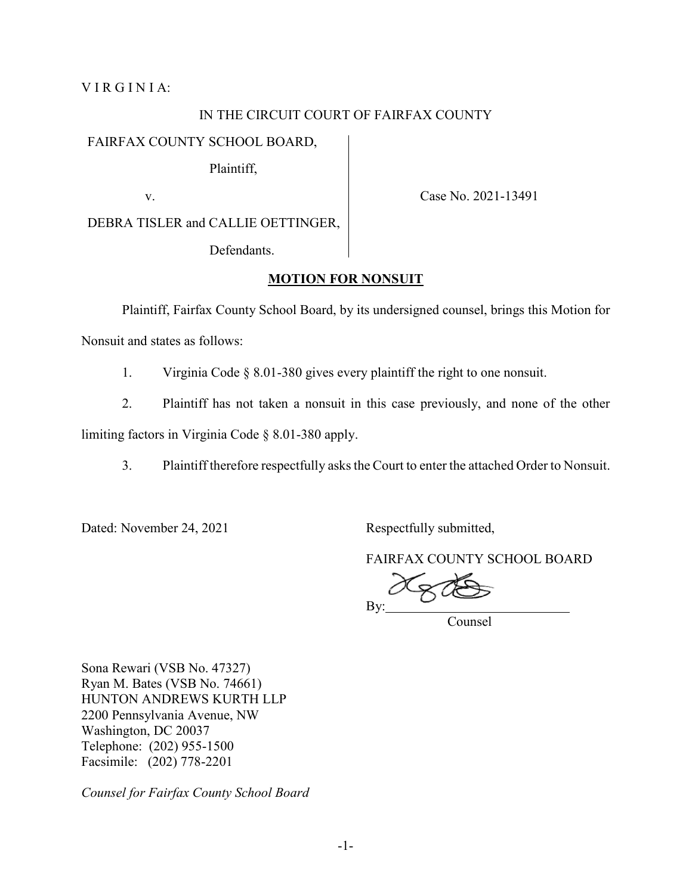### VIRGINIA:

#### IN THE CIRCUIT COURT OF FAIRFAX COUNTY

#### FAIRFAX COUNTY SCHOOL BOARD,

Plaintiff,

v.

Case No. 2021-13491

DEBRA TISLER and CALLIE OETTINGER,

Defendants.

# **MOTION FOR NONSUIT**

Plaintiff, Fairfax County School Board, by its undersigned counsel, brings this Motion for

Nonsuit and states as follows:

1. Virginia Code § 8.01-380 gives every plaintiff the right to one nonsuit.

2. Plaintiff has not taken a nonsuit in this case previously, and none of the other

limiting factors in Virginia Code § 8.01-380 apply.

3. Plaintiff therefore respectfully asks the Court to enter the attached Order to Nonsuit.

Dated: November 24, 2021 Respectfully submitted,

FAIRFAX COUNTY SCHOOL BOARD

By:

Counsel

Sona Rewari (VSB No. 47327) Ryan M. Bates (VSB No. 74661) HUNTON ANDREWS KURTH LLP 2200 Pennsylvania Avenue, NW Washington, DC 20037 Telephone: (202) 955-1500 Facsimile: (202) 778-2201

*Counsel for Fairfax County School Board*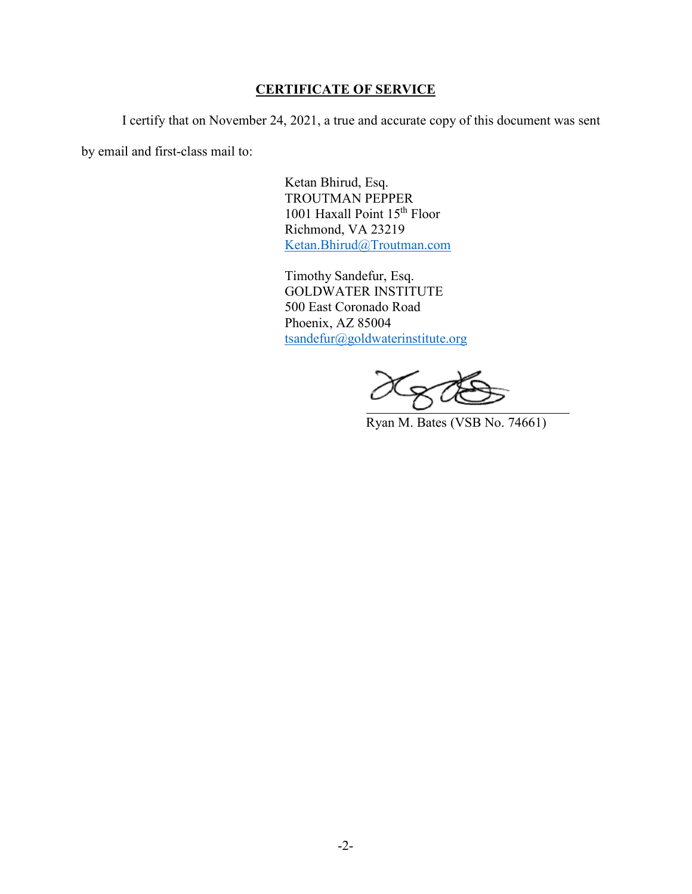## **CERTIFICATE OF SERVICE**

I certify that on November 24, 2021, a true and accurate copy of this document was sent

by email and first-class mail to:

Ketan Bhirud, Esq. TROUTMAN PEPPER 1001 Haxall Point 15<sup>th</sup> Floor Richmond, VA 23219 [Ketan.Bhirud@Troutman.com](mailto:Ketan.Bhirud@Troutman.com)

Timothy Sandefur, Esq. GOLDWATER INSTITUTE 500 East Coronado Road Phoenix, AZ 85004 [tsandefur@goldwaterinstitute.org](mailto:tsandefur@goldwaterinstitute.org)

Ryan M. Bates (VSB No. 74661)